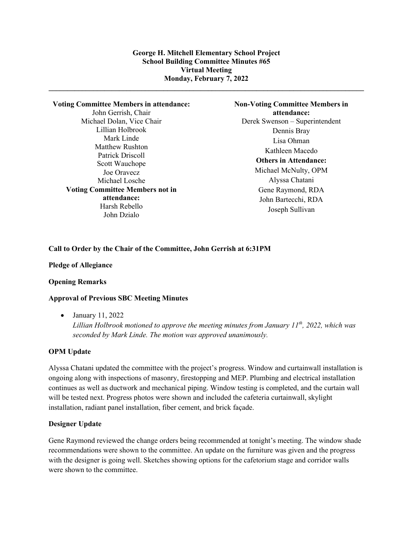**\_\_\_\_\_\_\_\_\_\_\_\_\_\_\_\_\_\_\_\_\_\_\_\_\_\_\_\_\_\_\_\_\_\_\_\_\_\_\_\_\_\_\_\_\_\_\_\_\_\_\_\_\_\_\_\_\_\_\_\_\_\_\_\_\_\_\_\_\_\_\_\_\_\_\_\_\_\_\_\_\_\_\_\_\_**

#### **Voting Committee Members in attendance:**

John Gerrish, Chair Michael Dolan, Vice Chair Lillian Holbrook Mark Linde Matthew Rushton Patrick Driscoll Scott Wauchope Joe Oravecz Michael Losche **Voting Committee Members not in attendance:** Harsh Rebello John Dzialo

**Non-Voting Committee Members in attendance:** Derek Swenson – Superintendent Dennis Bray Lisa Ohman Kathleen Macedo **Others in Attendance:** Michael McNulty, OPM Alyssa Chatani Gene Raymond, RDA John Bartecchi, RDA Joseph Sullivan

### **Call to Order by the Chair of the Committee, John Gerrish at 6:31PM**

#### **Pledge of Allegiance**

### **Opening Remarks**

### **Approval of Previous SBC Meeting Minutes**

• January 11, 2022

*Lillian Holbrook motioned to approve the meeting minutes from January 11th, 2022, which was seconded by Mark Linde. The motion was approved unanimously.*

#### **OPM Update**

Alyssa Chatani updated the committee with the project's progress. Window and curtainwall installation is ongoing along with inspections of masonry, firestopping and MEP. Plumbing and electrical installation continues as well as ductwork and mechanical piping. Window testing is completed, and the curtain wall will be tested next. Progress photos were shown and included the cafeteria curtainwall, skylight installation, radiant panel installation, fiber cement, and brick façade.

### **Designer Update**

Gene Raymond reviewed the change orders being recommended at tonight's meeting. The window shade recommendations were shown to the committee. An update on the furniture was given and the progress with the designer is going well. Sketches showing options for the cafetorium stage and corridor walls were shown to the committee.